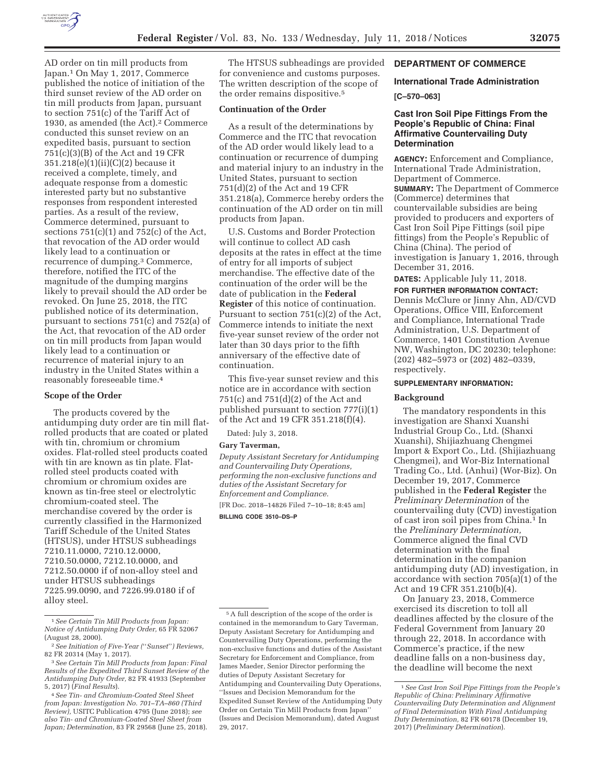

AD order on tin mill products from Japan.1 On May 1, 2017, Commerce published the notice of initiation of the third sunset review of the AD order on tin mill products from Japan, pursuant to section 751(c) of the Tariff Act of 1930, as amended (the Act).2 Commerce conducted this sunset review on an expedited basis, pursuant to section 751(c)(3)(B) of the Act and 19 CFR 351.218(e)(1)(ii)(C)(2) because it received a complete, timely, and adequate response from a domestic interested party but no substantive responses from respondent interested parties. As a result of the review, Commerce determined, pursuant to sections  $751(c)(1)$  and  $752(c)$  of the Act, that revocation of the AD order would likely lead to a continuation or recurrence of dumping.3 Commerce, therefore, notified the ITC of the magnitude of the dumping margins likely to prevail should the AD order be revoked. On June 25, 2018, the ITC published notice of its determination, pursuant to sections 751(c) and 752(a) of the Act, that revocation of the AD order on tin mill products from Japan would likely lead to a continuation or recurrence of material injury to an industry in the United States within a reasonably foreseeable time.4

### **Scope of the Order**

The products covered by the antidumping duty order are tin mill flatrolled products that are coated or plated with tin, chromium or chromium oxides. Flat-rolled steel products coated with tin are known as tin plate. Flatrolled steel products coated with chromium or chromium oxides are known as tin-free steel or electrolytic chromium-coated steel. The merchandise covered by the order is currently classified in the Harmonized Tariff Schedule of the United States (HTSUS), under HTSUS subheadings 7210.11.0000, 7210.12.0000, 7210.50.0000, 7212.10.0000, and 7212.50.0000 if of non-alloy steel and under HTSUS subheadings 7225.99.0090, and 7226.99.0180 if of alloy steel.

The HTSUS subheadings are provided for convenience and customs purposes. The written description of the scope of the order remains dispositive.5

### **Continuation of the Order**

As a result of the determinations by Commerce and the ITC that revocation of the AD order would likely lead to a continuation or recurrence of dumping and material injury to an industry in the United States, pursuant to section 751(d)(2) of the Act and 19 CFR 351.218(a), Commerce hereby orders the continuation of the AD order on tin mill products from Japan.

U.S. Customs and Border Protection will continue to collect AD cash deposits at the rates in effect at the time of entry for all imports of subject merchandise. The effective date of the continuation of the order will be the date of publication in the **Federal Register** of this notice of continuation. Pursuant to section 751(c)(2) of the Act, Commerce intends to initiate the next five-year sunset review of the order not later than 30 days prior to the fifth anniversary of the effective date of continuation.

This five-year sunset review and this notice are in accordance with section 751(c) and 751(d)(2) of the Act and published pursuant to section 777(i)(1) of the Act and 19 CFR 351.218(f)(4).

Dated: July 3, 2018.

#### **Gary Taverman,**

*Deputy Assistant Secretary for Antidumping and Countervailing Duty Operations, performing the non-exclusive functions and duties of the Assistant Secretary for Enforcement and Compliance.*  [FR Doc. 2018–14826 Filed 7–10–18; 8:45 am]

**BILLING CODE 3510–DS–P** 

# **DEPARTMENT OF COMMERCE**

# **International Trade Administration [C–570–063]**

# **Cast Iron Soil Pipe Fittings From the People's Republic of China: Final Affirmative Countervailing Duty Determination**

**AGENCY:** Enforcement and Compliance, International Trade Administration, Department of Commerce. **SUMMARY:** The Department of Commerce (Commerce) determines that countervailable subsidies are being provided to producers and exporters of Cast Iron Soil Pipe Fittings (soil pipe fittings) from the People's Republic of China (China). The period of investigation is January 1, 2016, through December 31, 2016.

**DATES:** Applicable July 11, 2018.

**FOR FURTHER INFORMATION CONTACT:**  Dennis McClure or Jinny Ahn, AD/CVD Operations, Office VIII, Enforcement and Compliance, International Trade Administration, U.S. Department of Commerce, 1401 Constitution Avenue NW, Washington, DC 20230; telephone: (202) 482–5973 or (202) 482–0339, respectively.

### **SUPPLEMENTARY INFORMATION:**

#### **Background**

The mandatory respondents in this investigation are Shanxi Xuanshi Industrial Group Co., Ltd. (Shanxi Xuanshi), Shijiazhuang Chengmei Import & Export Co., Ltd. (Shijiazhuang Chengmei), and Wor-Biz International Trading Co., Ltd. (Anhui) (Wor-Biz). On December 19, 2017, Commerce published in the **Federal Register** the *Preliminary Determination* of the countervailing duty (CVD) investigation of cast iron soil pipes from China.1 In the *Preliminary Determination,*  Commerce aligned the final CVD determination with the final determination in the companion antidumping duty (AD) investigation, in accordance with section 705(a)(1) of the Act and 19 CFR 351.210(b)(4).

On January 23, 2018, Commerce exercised its discretion to toll all deadlines affected by the closure of the Federal Government from January 20 through 22, 2018. In accordance with Commerce's practice, if the new deadline falls on a non-business day, the deadline will become the next

<sup>1</sup>*See Certain Tin Mill Products from Japan: Notice of Antidumping Duty Order,* 65 FR 52067 (August 28, 2000).

<sup>2</sup>*See Initiation of Five-Year (*''*Sunset*''*) Reviews,*  82 FR 20314 (May 1, 2017).

<sup>3</sup>*See Certain Tin Mill Products from Japan: Final Results of the Expedited Third Sunset Review of the Antidumping Duty Order,* 82 FR 41933 (September 5, 2017) (*Final Results*).

<sup>4</sup>*See Tin- and Chromium-Coated Steel Sheet from Japan: Investigation No. 701–TA–860 (Third Review),* USITC Publication 4795 (June 2018); *see also Tin- and Chromium-Coated Steel Sheet from Japan; Determination,* 83 FR 29568 (June 25, 2018).

<sup>5</sup>A full description of the scope of the order is contained in the memorandum to Gary Taverman, Deputy Assistant Secretary for Antidumping and Countervailing Duty Operations, performing the non-exclusive functions and duties of the Assistant Secretary for Enforcement and Compliance, from James Maeder, Senior Director performing the duties of Deputy Assistant Secretary for Antidumping and Countervailing Duty Operations, ''Issues and Decision Memorandum for the Expedited Sunset Review of the Antidumping Duty Order on Certain Tin Mill Products from Japan'' (Issues and Decision Memorandum), dated August 29, 2017.

<sup>1</sup>*See Cast Iron Soil Pipe Fittings from the People's Republic of China: Preliminary Affirmative Countervailing Duty Determination and Alignment of Final Determination With Final Antidumping Duty Determination,* 82 FR 60178 (December 19, 2017) (*Preliminary Determination*).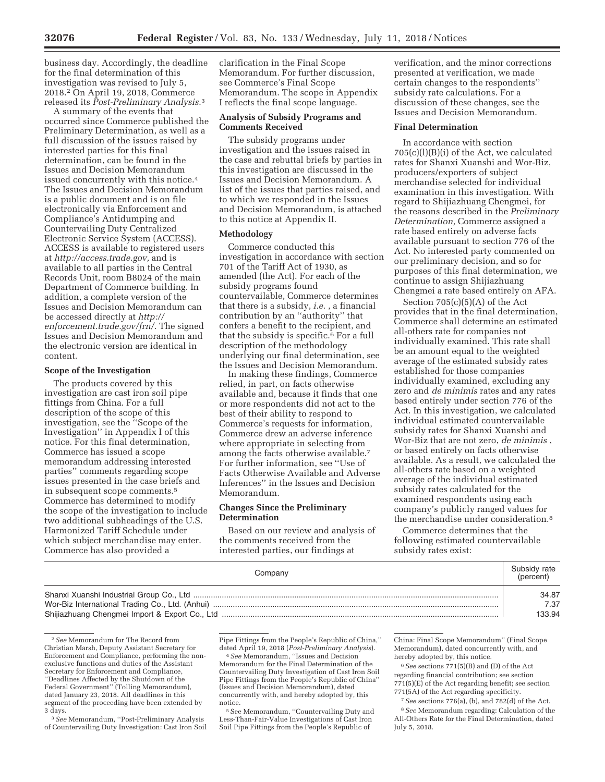business day. Accordingly, the deadline for the final determination of this investigation was revised to July 5, 2018.2 On April 19, 2018, Commerce released its *Post-Preliminary Analysis.*3

A summary of the events that occurred since Commerce published the Preliminary Determination, as well as a full discussion of the issues raised by interested parties for this final determination, can be found in the Issues and Decision Memorandum issued concurrently with this notice.4 The Issues and Decision Memorandum is a public document and is on file electronically via Enforcement and Compliance's Antidumping and Countervailing Duty Centralized Electronic Service System (ACCESS). ACCESS is available to registered users at *http://access.trade.gov,* and is available to all parties in the Central Records Unit, room B8024 of the main Department of Commerce building. In addition, a complete version of the Issues and Decision Memorandum can be accessed directly at *http:// enforcement.trade.gov/frn/.* The signed Issues and Decision Memorandum and the electronic version are identical in content.

#### **Scope of the Investigation**

The products covered by this investigation are cast iron soil pipe fittings from China. For a full description of the scope of this investigation, see the ''Scope of the Investigation'' in Appendix I of this notice. For this final determination, Commerce has issued a scope memorandum addressing interested parties'' comments regarding scope issues presented in the case briefs and in subsequent scope comments.5 Commerce has determined to modify the scope of the investigation to include two additional subheadings of the U.S. Harmonized Tariff Schedule under which subject merchandise may enter. Commerce has also provided a

clarification in the Final Scope Memorandum. For further discussion, see Commerce's Final Scope Memorandum. The scope in Appendix I reflects the final scope language.

### **Analysis of Subsidy Programs and Comments Received**

The subsidy programs under investigation and the issues raised in the case and rebuttal briefs by parties in this investigation are discussed in the Issues and Decision Memorandum. A list of the issues that parties raised, and to which we responded in the Issues and Decision Memorandum, is attached to this notice at Appendix II.

#### **Methodology**

Commerce conducted this investigation in accordance with section 701 of the Tariff Act of 1930, as amended (the Act). For each of the subsidy programs found countervailable, Commerce determines that there is a subsidy, *i.e.* , a financial contribution by an ''authority'' that confers a benefit to the recipient, and that the subsidy is specific.<sup>6</sup> For a full description of the methodology underlying our final determination, see the Issues and Decision Memorandum.

In making these findings, Commerce relied, in part, on facts otherwise available and, because it finds that one or more respondents did not act to the best of their ability to respond to Commerce's requests for information, Commerce drew an adverse inference where appropriate in selecting from among the facts otherwise available.7 For further information, see ''Use of Facts Otherwise Available and Adverse Inferences'' in the Issues and Decision Memorandum.

### **Changes Since the Preliminary Determination**

Based on our review and analysis of the comments received from the interested parties, our findings at

verification, and the minor corrections presented at verification, we made certain changes to the respondents'' subsidy rate calculations. For a discussion of these changes, see the Issues and Decision Memorandum.

#### **Final Determination**

In accordance with section 705(c)(l)(B)(i) of the Act, we calculated rates for Shanxi Xuanshi and Wor-Biz, producers/exporters of subject merchandise selected for individual examination in this investigation. With regard to Shijiazhuang Chengmei, for the reasons described in the *Preliminary Determination,* Commerce assigned a rate based entirely on adverse facts available pursuant to section 776 of the Act. No interested party commented on our preliminary decision, and so for purposes of this final determination, we continue to assign Shijiazhuang Chengmei a rate based entirely on AFA.

Section  $705(c)(5)(A)$  of the Act provides that in the final determination, Commerce shall determine an estimated all-others rate for companies not individually examined. This rate shall be an amount equal to the weighted average of the estimated subsidy rates established for those companies individually examined, excluding any zero and *de minimis* rates and any rates based entirely under section 776 of the Act. In this investigation, we calculated individual estimated countervailable subsidy rates for Shanxi Xuanshi and Wor-Biz that are not zero, *de minimis* , or based entirely on facts otherwise available. As a result, we calculated the all-others rate based on a weighted average of the individual estimated subsidy rates calculated for the examined respondents using each company's publicly ranged values for the merchandise under consideration.8

Commerce determines that the following estimated countervailable subsidy rates exist:

| Company | Subsidy rate<br>(percent) |
|---------|---------------------------|
|         | 34.87                     |
|         | 7.37                      |
|         | 133.94                    |

<sup>2</sup>*See* Memorandum for The Record from Christian Marsh, Deputy Assistant Secretary for Enforcement and Compliance, performing the nonexclusive functions and duties of the Assistant Secretary for Enforcement and Compliance, ''Deadlines Affected by the Shutdown of the Federal Government'' (Tolling Memorandum), dated January 23, 2018. All deadlines in this segment of the proceeding have been extended by 3 days.

3*See* Memorandum, ''Post-Preliminary Analysis of Countervailing Duty Investigation: Cast Iron Soil Pipe Fittings from the People's Republic of China,'' dated April 19, 2018 (*Post-Preliminary Analysis*). 4*See* Memorandum, ''Issues and Decision

Memorandum for the Final Determination of the Countervailing Duty Investigation of Cast Iron Soil Pipe Fittings from the People's Republic of China'' (Issues and Decision Memorandum), dated concurrently with, and hereby adopted by, this notice.

5See Memorandum, ''Countervailing Duty and Less-Than-Fair-Value Investigations of Cast Iron Soil Pipe Fittings from the People's Republic of

China: Final Scope Memorandum'' (Final Scope Memorandum), dated concurrently with, and hereby adopted by, this notice.

6*See* sections 771(5)(B) and (D) of the Act regarding financial contribution; see section 771(5)(E) of the Act regarding benefit; see section 771(5A) of the Act regarding specificity.

7*See* sections 776(a), (b), and 782(d) of the Act. 8*See* Memorandum regarding: Calculation of the All-Others Rate for the Final Determination, dated July 5, 2018.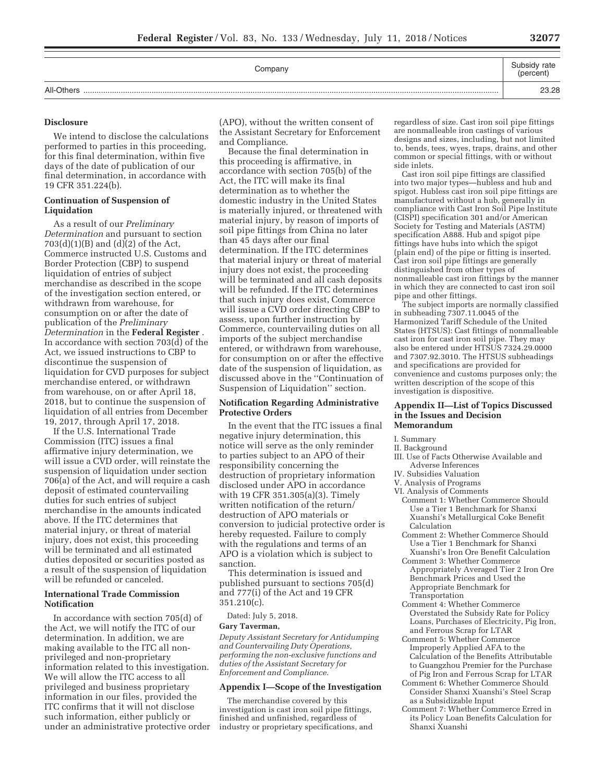| Company    | Subsidy rate<br>(percent) |
|------------|---------------------------|
| All-Others | 23.28                     |

# **Disclosure**

We intend to disclose the calculations performed to parties in this proceeding, for this final determination, within five days of the date of publication of our final determination, in accordance with 19 CFR 351.224(b).

# **Continuation of Suspension of Liquidation**

As a result of our *Preliminary Determination* and pursuant to section 703(d)(1)(B) and (d)(2) of the Act, Commerce instructed U.S. Customs and Border Protection (CBP) to suspend liquidation of entries of subject merchandise as described in the scope of the investigation section entered, or withdrawn from warehouse, for consumption on or after the date of publication of the *Preliminary Determination* in the **Federal Register** . In accordance with section 703(d) of the Act, we issued instructions to CBP to discontinue the suspension of liquidation for CVD purposes for subject merchandise entered, or withdrawn from warehouse, on or after April 18, 2018, but to continue the suspension of liquidation of all entries from December 19, 2017, through April 17, 2018.

If the U.S. International Trade Commission (ITC) issues a final affirmative injury determination, we will issue a CVD order, will reinstate the suspension of liquidation under section 706(a) of the Act, and will require a cash deposit of estimated countervailing duties for such entries of subject merchandise in the amounts indicated above. If the ITC determines that material injury, or threat of material injury, does not exist, this proceeding will be terminated and all estimated duties deposited or securities posted as a result of the suspension of liquidation will be refunded or canceled.

# **International Trade Commission Notification**

In accordance with section 705(d) of the Act, we will notify the ITC of our determination. In addition, we are making available to the ITC all nonprivileged and non-proprietary information related to this investigation. We will allow the ITC access to all privileged and business proprietary information in our files, provided the ITC confirms that it will not disclose such information, either publicly or under an administrative protective order (APO), without the written consent of the Assistant Secretary for Enforcement and Compliance.

Because the final determination in this proceeding is affirmative, in accordance with section 705(b) of the Act, the ITC will make its final determination as to whether the domestic industry in the United States is materially injured, or threatened with material injury, by reason of imports of soil pipe fittings from China no later than 45 days after our final determination. If the ITC determines that material injury or threat of material injury does not exist, the proceeding will be terminated and all cash deposits will be refunded. If the ITC determines that such injury does exist, Commerce will issue a CVD order directing CBP to assess, upon further instruction by Commerce, countervailing duties on all imports of the subject merchandise entered, or withdrawn from warehouse, for consumption on or after the effective date of the suspension of liquidation, as discussed above in the ''Continuation of Suspension of Liquidation'' section.

# **Notification Regarding Administrative Protective Orders**

In the event that the ITC issues a final negative injury determination, this notice will serve as the only reminder to parties subject to an APO of their responsibility concerning the destruction of proprietary information disclosed under APO in accordance with 19 CFR 351.305(a)(3). Timely written notification of the return/ destruction of APO materials or conversion to judicial protective order is hereby requested. Failure to comply with the regulations and terms of an APO is a violation which is subject to sanction.

This determination is issued and published pursuant to sections 705(d) and 777(i) of the Act and 19 CFR 351.210(c).

#### Dated: July 5, 2018.

#### **Gary Taverman,**

*Deputy Assistant Secretary for Antidumping and Countervailing Duty Operations, performing the non-exclusive functions and duties of the Assistant Secretary for Enforcement and Compliance.* 

#### **Appendix I—Scope of the Investigation**

The merchandise covered by this investigation is cast iron soil pipe fittings, finished and unfinished, regardless of industry or proprietary specifications, and regardless of size. Cast iron soil pipe fittings are nonmalleable iron castings of various designs and sizes, including, but not limited to, bends, tees, wyes, traps, drains, and other common or special fittings, with or without side inlets.

Cast iron soil pipe fittings are classified into two major types—hubless and hub and spigot. Hubless cast iron soil pipe fittings are manufactured without a hub, generally in compliance with Cast Iron Soil Pipe Institute (CISPI) specification 301 and/or American Society for Testing and Materials (ASTM) specification A888. Hub and spigot pipe fittings have hubs into which the spigot (plain end) of the pipe or fitting is inserted. Cast iron soil pipe fittings are generally distinguished from other types of nonmalleable cast iron fittings by the manner in which they are connected to cast iron soil pipe and other fittings.

The subject imports are normally classified in subheading 7307.11.0045 of the Harmonized Tariff Schedule of the United States (HTSUS): Cast fittings of nonmalleable cast iron for cast iron soil pipe. They may also be entered under HTSUS 7324.29.0000 and 7307.92.3010. The HTSUS subheadings and specifications are provided for convenience and customs purposes only; the written description of the scope of this investigation is dispositive.

#### **Appendix II—List of Topics Discussed in the Issues and Decision Memorandum**

I. Summary

- II. Background
- III. Use of Facts Otherwise Available and Adverse Inferences
- IV. Subsidies Valuation
- V. Analysis of Programs
- VI. Analysis of Comments
	- Comment 1: Whether Commerce Should Use a Tier 1 Benchmark for Shanxi Xuanshi's Metallurgical Coke Benefit Calculation
	- Comment 2: Whether Commerce Should Use a Tier 1 Benchmark for Shanxi Xuanshi's Iron Ore Benefit Calculation
	- Comment 3: Whether Commerce Appropriately Averaged Tier 2 Iron Ore Benchmark Prices and Used the Appropriate Benchmark for Transportation
	- Comment 4: Whether Commerce Overstated the Subsidy Rate for Policy Loans, Purchases of Electricity, Pig Iron, and Ferrous Scrap for LTAR
	- Comment 5: Whether Commerce Improperly Applied AFA to the Calculation of the Benefits Attributable to Guangzhou Premier for the Purchase of Pig Iron and Ferrous Scrap for LTAR
	- Comment 6: Whether Commerce Should Consider Shanxi Xuanshi's Steel Scrap as a Subsidizable Input
	- Comment 7: Whether Commerce Erred in its Policy Loan Benefits Calculation for Shanxi Xuanshi